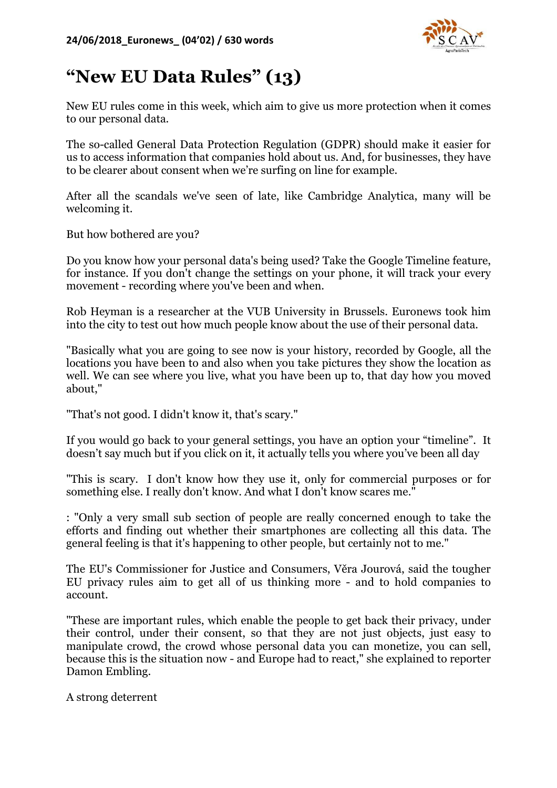

## **"New EU Data Rules" (13)**

New EU rules come in this week, which aim to give us more protection when it comes to our personal data.

The so-called General Data Protection Regulation (GDPR) should make it easier for us to access information that companies hold about us. And, for businesses, they have to be clearer about consent when we're surfing on line for example.

After all the scandals we've seen of late, like Cambridge Analytica, many will be welcoming it.

But how bothered are you?

Do you know how your personal data's being used? Take the Google Timeline feature, for instance. If you don't change the settings on your phone, it will track your every movement - recording where you've been and when.

Rob Heyman is a researcher at the VUB University in Brussels. Euronews took him into the city to test out how much people know about the use of their personal data.

"Basically what you are going to see now is your history, recorded by Google, all the locations you have been to and also when you take pictures they show the location as well. We can see where you live, what you have been up to, that day how you moved about,"

"That's not good. I didn't know it, that's scary."

If you would go back to your general settings, you have an option your "timeline". It doesn't say much but if you click on it, it actually tells you where you've been all day

"This is scary. I don't know how they use it, only for commercial purposes or for something else. I really don't know. And what I don't know scares me."

: "Only a very small sub section of people are really concerned enough to take the efforts and finding out whether their smartphones are collecting all this data. The general feeling is that it's happening to other people, but certainly not to me."

The EU's Commissioner for Justice and Consumers, Věra Jourová, said the tougher EU privacy rules aim to get all of us thinking more - and to hold companies to account.

"These are important rules, which enable the people to get back their privacy, under their control, under their consent, so that they are not just objects, just easy to manipulate crowd, the crowd whose personal data you can monetize, you can sell, because this is the situation now - and Europe had to react," she explained to reporter Damon Embling.

A strong deterrent